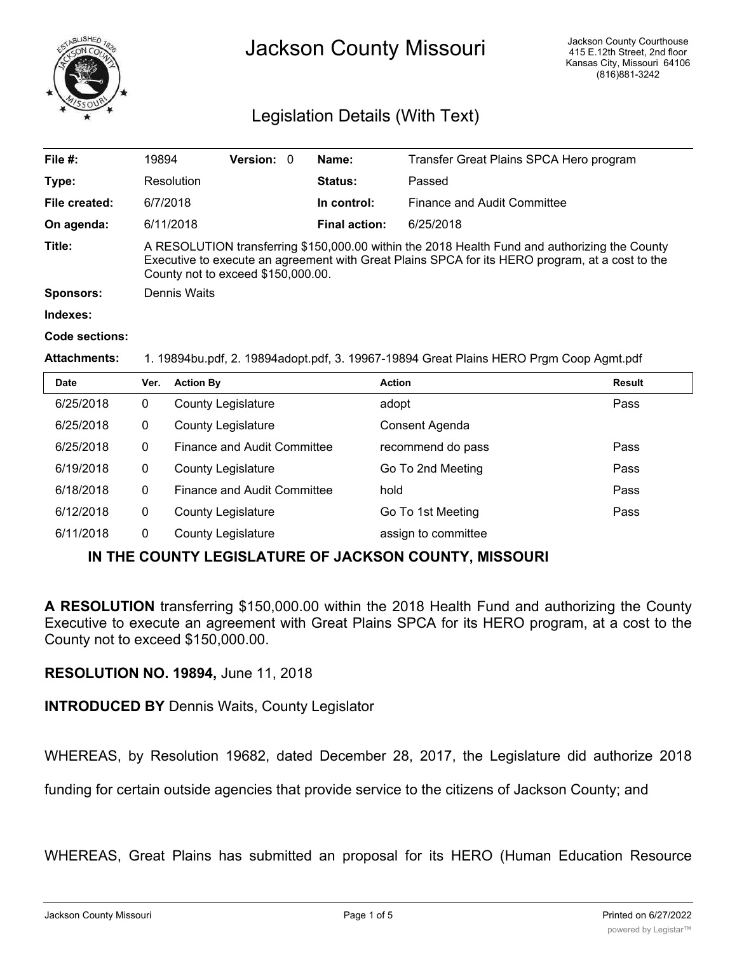

# Jackson County Missouri

# Legislation Details (With Text)

| File $#$ :          | 19894                                                                                                                                                                                                                                  | <b>Version: 0</b> |  | Name:                | Transfer Great Plains SPCA Hero program |
|---------------------|----------------------------------------------------------------------------------------------------------------------------------------------------------------------------------------------------------------------------------------|-------------------|--|----------------------|-----------------------------------------|
| Type:               | Resolution                                                                                                                                                                                                                             |                   |  | <b>Status:</b>       | Passed                                  |
| File created:       | 6/7/2018                                                                                                                                                                                                                               |                   |  | In control:          | Finance and Audit Committee             |
| On agenda:          | 6/11/2018                                                                                                                                                                                                                              |                   |  | <b>Final action:</b> | 6/25/2018                               |
| Title:              | A RESOLUTION transferring \$150,000.00 within the 2018 Health Fund and authorizing the County<br>Executive to execute an agreement with Great Plains SPCA for its HERO program, at a cost to the<br>County not to exceed \$150,000.00. |                   |  |                      |                                         |
| <b>Sponsors:</b>    | Dennis Waits                                                                                                                                                                                                                           |                   |  |                      |                                         |
| Indexes:            |                                                                                                                                                                                                                                        |                   |  |                      |                                         |
| Code sections:      |                                                                                                                                                                                                                                        |                   |  |                      |                                         |
| <b>Attachments:</b> | 1. 19894bu.pdf, 2. 19894adopt.pdf, 3. 19967-19894 Great Plains HERO Prgm Coop Agmt.pdf                                                                                                                                                 |                   |  |                      |                                         |
|                     |                                                                                                                                                                                                                                        |                   |  |                      |                                         |

| <b>Date</b> | Ver. | <b>Action By</b>            | <b>Action</b>       | Result |
|-------------|------|-----------------------------|---------------------|--------|
| 6/25/2018   | 0    | <b>County Legislature</b>   | adopt               | Pass   |
| 6/25/2018   | 0    | <b>County Legislature</b>   | Consent Agenda      |        |
| 6/25/2018   | 0    | Finance and Audit Committee | recommend do pass   | Pass   |
| 6/19/2018   | 0    | <b>County Legislature</b>   | Go To 2nd Meeting   | Pass   |
| 6/18/2018   | 0    | Finance and Audit Committee | hold                | Pass   |
| 6/12/2018   | 0    | <b>County Legislature</b>   | Go To 1st Meeting   | Pass   |
| 6/11/2018   | 0    | <b>County Legislature</b>   | assign to committee |        |

## **IN THE COUNTY LEGISLATURE OF JACKSON COUNTY, MISSOURI**

**A RESOLUTION** transferring \$150,000.00 within the 2018 Health Fund and authorizing the County Executive to execute an agreement with Great Plains SPCA for its HERO program, at a cost to the County not to exceed \$150,000.00.

### **RESOLUTION NO. 19894,** June 11, 2018

**INTRODUCED BY** Dennis Waits, County Legislator

WHEREAS, by Resolution 19682, dated December 28, 2017, the Legislature did authorize 2018

funding for certain outside agencies that provide service to the citizens of Jackson County; and

WHEREAS, Great Plains has submitted an proposal for its HERO (Human Education Resource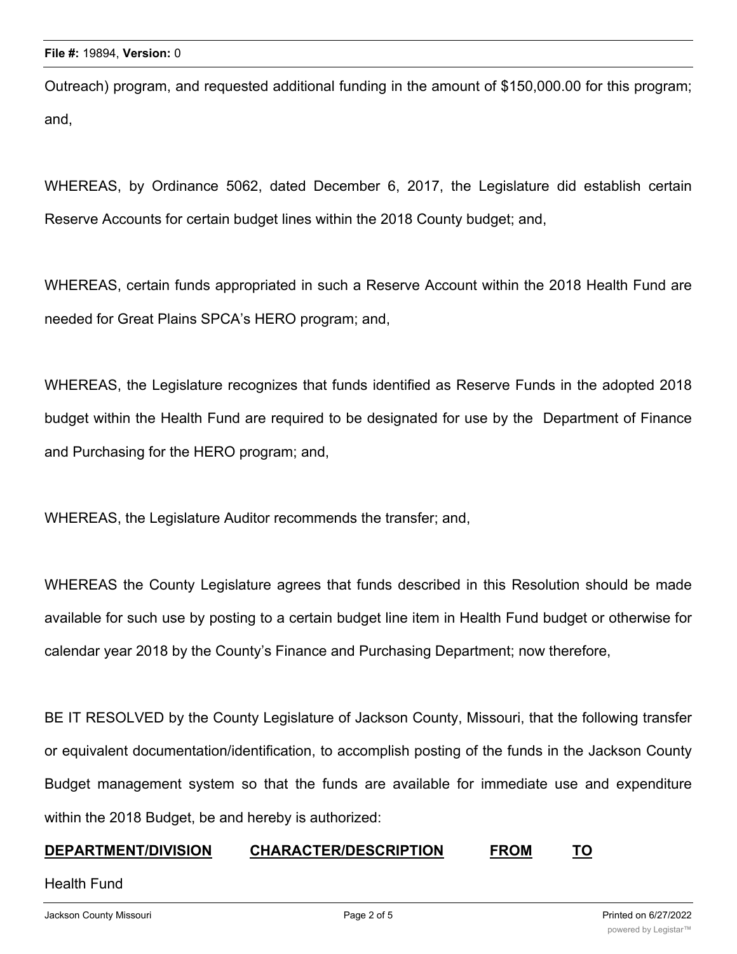Outreach) program, and requested additional funding in the amount of \$150,000.00 for this program; and,

WHEREAS, by Ordinance 5062, dated December 6, 2017, the Legislature did establish certain Reserve Accounts for certain budget lines within the 2018 County budget; and,

WHEREAS, certain funds appropriated in such a Reserve Account within the 2018 Health Fund are needed for Great Plains SPCA's HERO program; and,

WHEREAS, the Legislature recognizes that funds identified as Reserve Funds in the adopted 2018 budget within the Health Fund are required to be designated for use by the Department of Finance and Purchasing for the HERO program; and,

WHEREAS, the Legislature Auditor recommends the transfer; and,

WHEREAS the County Legislature agrees that funds described in this Resolution should be made available for such use by posting to a certain budget line item in Health Fund budget or otherwise for calendar year 2018 by the County's Finance and Purchasing Department; now therefore,

BE IT RESOLVED by the County Legislature of Jackson County, Missouri, that the following transfer or equivalent documentation/identification, to accomplish posting of the funds in the Jackson County Budget management system so that the funds are available for immediate use and expenditure within the 2018 Budget, be and hereby is authorized:

### **DEPARTMENT/DIVISION CHARACTER/DESCRIPTION FROM TO**

Health Fund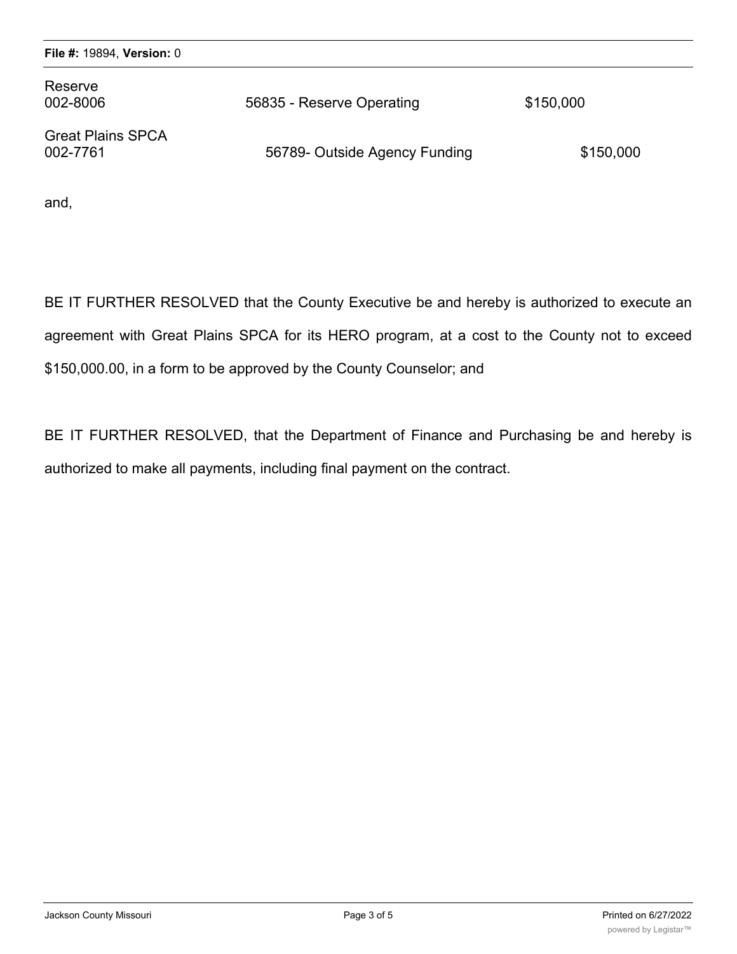| Reserve<br>002-8006                  | 56835 - Reserve Operating     | \$150,000 |
|--------------------------------------|-------------------------------|-----------|
| <b>Great Plains SPCA</b><br>002-7761 | 56789- Outside Agency Funding | \$150,000 |

and,

BE IT FURTHER RESOLVED that the County Executive be and hereby is authorized to execute an agreement with Great Plains SPCA for its HERO program, at a cost to the County not to exceed \$150,000.00, in a form to be approved by the County Counselor; and

BE IT FURTHER RESOLVED, that the Department of Finance and Purchasing be and hereby is authorized to make all payments, including final payment on the contract.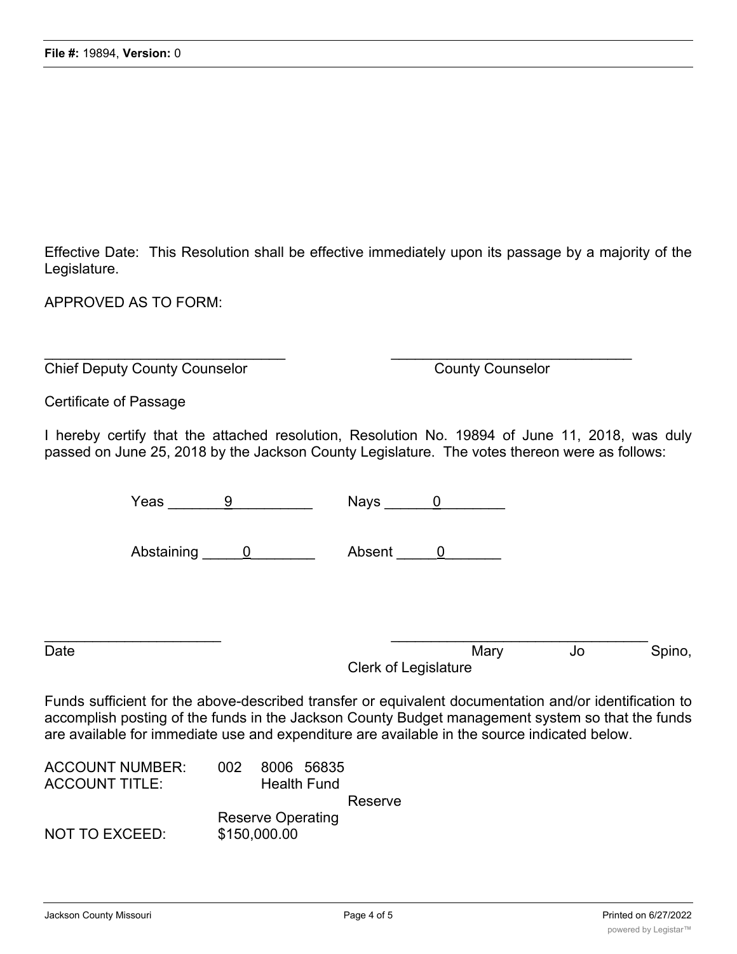Effective Date: This Resolution shall be effective immediately upon its passage by a majority of the Legislature.

APPROVED AS TO FORM:

Chief Deputy County Counselor County Counselor

Certificate of Passage

I hereby certify that the attached resolution, Resolution No. 19894 of June 11, 2018, was duly passed on June 25, 2018 by the Jackson County Legislature. The votes thereon were as follows:

 $\mathcal{L}_\text{max}$  , and the contribution of the contribution of the contribution of the contribution of the contribution of the contribution of the contribution of the contribution of the contribution of the contribution of t

|      | Yeas<br>9                    | <b>Nays</b>           |    |        |
|------|------------------------------|-----------------------|----|--------|
|      | Abstaining<br>$\overline{0}$ | Absent<br>$\mathbf 0$ |    |        |
| Date |                              | Mary                  | Jo | Spino, |
|      |                              | Clerk of Legislature  |    |        |

Funds sufficient for the above-described transfer or equivalent documentation and/or identification to accomplish posting of the funds in the Jackson County Budget management system so that the funds are available for immediate use and expenditure are available in the source indicated below.

| 8006 56835<br>002.       |
|--------------------------|
| <b>Health Fund</b>       |
| Reserve                  |
| <b>Reserve Operating</b> |
| \$150,000.00             |
|                          |